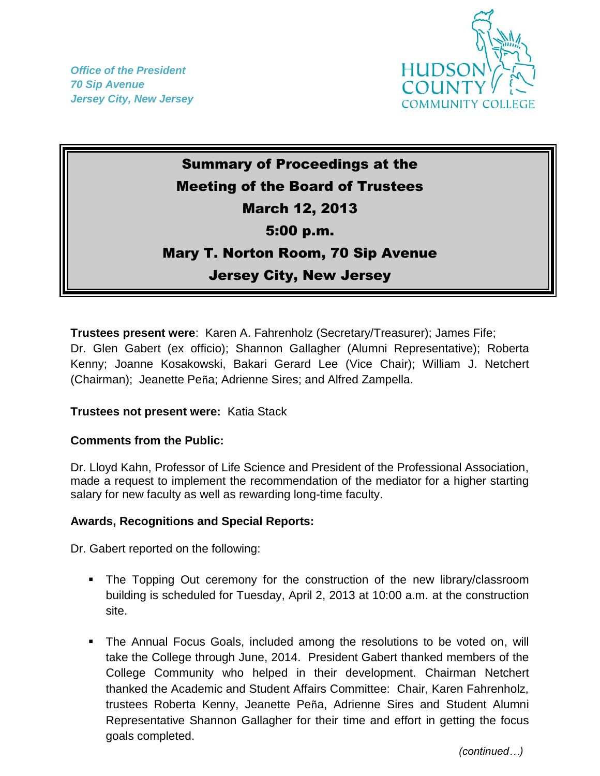*Office of the President 70 Sip Avenue Jersey City, New Jersey*



## Summary of Proceedings at the Meeting of the Board of Trustees March 12, 2013 5:00 p.m. Mary T. Norton Room, 70 Sip Avenue Jersey City, New Jersey

**Trustees present were**: Karen A. Fahrenholz (Secretary/Treasurer); James Fife; Dr. Glen Gabert (ex officio); Shannon Gallagher (Alumni Representative); Roberta Kenny; Joanne Kosakowski, Bakari Gerard Lee (Vice Chair); William J. Netchert (Chairman); Jeanette Peña; Adrienne Sires; and Alfred Zampella.

## **Trustees not present were:** Katia Stack

## **Comments from the Public:**

Dr. Lloyd Kahn, Professor of Life Science and President of the Professional Association, made a request to implement the recommendation of the mediator for a higher starting salary for new faculty as well as rewarding long-time faculty.

## **Awards, Recognitions and Special Reports:**

Dr. Gabert reported on the following:

- The Topping Out ceremony for the construction of the new library/classroom building is scheduled for Tuesday, April 2, 2013 at 10:00 a.m. at the construction site.
- The Annual Focus Goals, included among the resolutions to be voted on, will take the College through June, 2014. President Gabert thanked members of the College Community who helped in their development. Chairman Netchert thanked the Academic and Student Affairs Committee: Chair, Karen Fahrenholz, trustees Roberta Kenny, Jeanette Peña, Adrienne Sires and Student Alumni Representative Shannon Gallagher for their time and effort in getting the focus goals completed.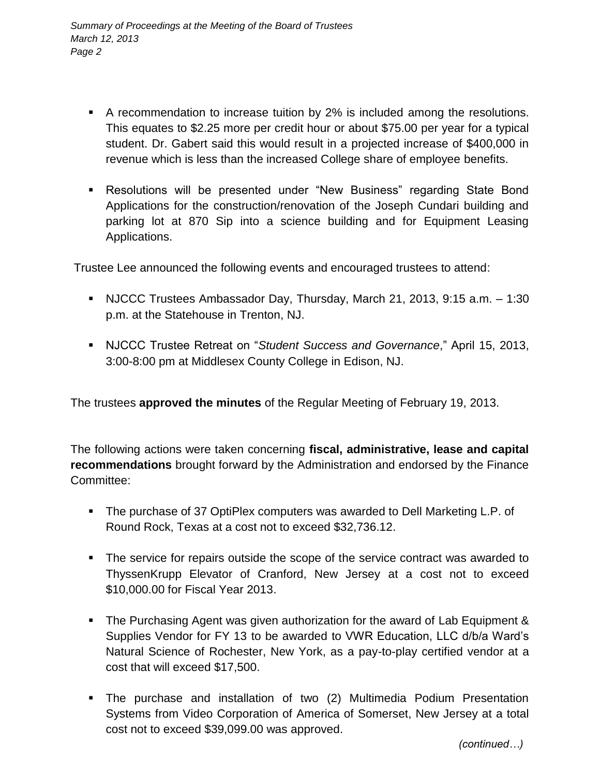- A recommendation to increase tuition by 2% is included among the resolutions. This equates to \$2.25 more per credit hour or about \$75.00 per year for a typical student. Dr. Gabert said this would result in a projected increase of \$400,000 in revenue which is less than the increased College share of employee benefits.
- Resolutions will be presented under "New Business" regarding State Bond Applications for the construction/renovation of the Joseph Cundari building and parking lot at 870 Sip into a science building and for Equipment Leasing Applications.

Trustee Lee announced the following events and encouraged trustees to attend:

- NJCCC Trustees Ambassador Day, Thursday, March 21, 2013, 9:15 a.m. 1:30 p.m. at the Statehouse in Trenton, NJ.
- NJCCC Trustee Retreat on "*Student Success and Governance*," April 15, 2013, 3:00-8:00 pm at Middlesex County College in Edison, NJ.

The trustees **approved the minutes** of the Regular Meeting of February 19, 2013.

The following actions were taken concerning **fiscal, administrative, lease and capital recommendations** brought forward by the Administration and endorsed by the Finance Committee:

- The purchase of 37 OptiPlex computers was awarded to Dell Marketing L.P. of Round Rock, Texas at a cost not to exceed \$32,736.12.
- The service for repairs outside the scope of the service contract was awarded to ThyssenKrupp Elevator of Cranford, New Jersey at a cost not to exceed \$10,000.00 for Fiscal Year 2013.
- The Purchasing Agent was given authorization for the award of Lab Equipment & Supplies Vendor for FY 13 to be awarded to VWR Education, LLC d/b/a Ward's Natural Science of Rochester, New York, as a pay-to-play certified vendor at a cost that will exceed \$17,500.
- The purchase and installation of two (2) Multimedia Podium Presentation Systems from Video Corporation of America of Somerset, New Jersey at a total cost not to exceed \$39,099.00 was approved.